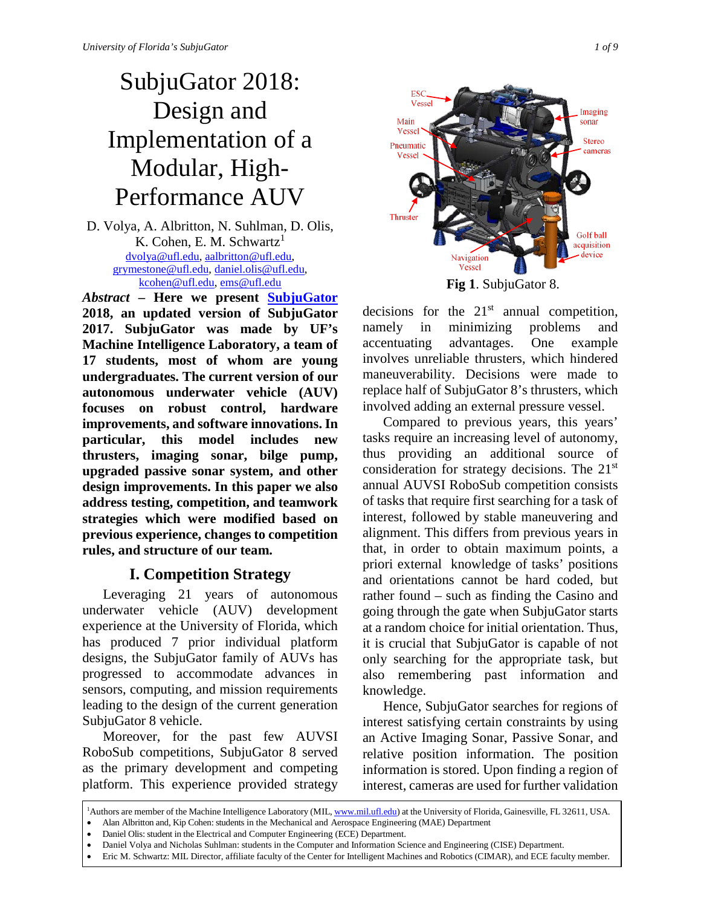# SubjuGator 2018: Design and Implementation of a Modular, High-Performance AUV

D. Volya, A. Albritton, N. Suhlman, D. Olis, K. Cohen, E. M. Schwartz<sup>1</sup> [dvolya@ufl.edu,](mailto:dvolya@ufl.edu) [aalbritton@ufl.edu,](mailto:aalbritton@ufl.edu) [grymestone@ufl.edu,](mailto:grymestone@ufl.edu) [daniel.olis@ufl.edu,](mailto:daniel.olis@ufl.edu) [kcohen@ufl.edu,](mailto:kcohen@ufl.edu) [ems@ufl.edu](mailto:ems@ufl.edu)

*Abstract* **– Here we present [SubjuGator](http://subjugator.org/) 2018, an updated version of SubjuGator 2017. SubjuGator was made by UF's Machine Intelligence Laboratory, a team of 17 students, most of whom are young undergraduates. The current version of our autonomous underwater vehicle (AUV) focuses on robust control, hardware improvements, and software innovations. In particular, this model includes new thrusters, imaging sonar, bilge pump, upgraded passive sonar system, and other design improvements. In this paper we also address testing, competition, and teamwork strategies which were modified based on previous experience, changes to competition rules, and structure of our team.**

# **I. Competition Strategy**

Leveraging 21 years of autonomous underwater vehicle (AUV) development experience at the University of Florida, which has produced 7 prior individual platform designs, the SubjuGator family of AUVs has progressed to accommodate advances in sensors, computing, and mission requirements leading to the design of the current generation SubjuGator 8 vehicle.

Moreover, for the past few AUVSI RoboSub competitions, SubjuGator 8 served as the primary development and competing platform. This experience provided strategy



**Fig 1**. SubjuGator 8.

decisions for the  $21<sup>st</sup>$  annual competition, namely in minimizing problems and accentuating advantages. One example involves unreliable thrusters, which hindered maneuverability. Decisions were made to replace half of SubjuGator 8's thrusters, which involved adding an external pressure vessel.

Compared to previous years, this years' tasks require an increasing level of autonomy, thus providing an additional source of consideration for strategy decisions. The 21st annual AUVSI RoboSub competition consists of tasks that require first searching for a task of interest, followed by stable maneuvering and alignment. This differs from previous years in that, in order to obtain maximum points, a priori external knowledge of tasks' positions and orientations cannot be hard coded, but rather found – such as finding the Casino and going through the gate when SubjuGator starts at a random choice for initial orientation. Thus, it is crucial that SubjuGator is capable of not only searching for the appropriate task, but also remembering past information and knowledge.

Hence, SubjuGator searches for regions of interest satisfying certain constraints by using an Active Imaging Sonar, Passive Sonar, and relative position information. The position information is stored. Upon finding a region of interest, cameras are used for further validation

<sup>&</sup>lt;sup>1</sup>Authors are member of the Machine Intelligence Laboratory (MIL[, www.mil.ufl.edu\)](http://www.mil.ufl.edu/) at the University of Florida, Gainesville, FL 32611, USA.

<sup>•</sup> Alan Albritton and, Kip Cohen: students in the Mechanical and Aerospace Engineering (MAE) Department

<sup>•</sup> Daniel Olis: student in the Electrical and Computer Engineering (ECE) Department.

<sup>•</sup> Daniel Volya and Nicholas Suhlman: students in the Computer and Information Science and Engineering (CISE) Department.

<sup>•</sup> Eric M. Schwartz: MIL Director, affiliate faculty of the Center for Intelligent Machines and Robotics (CIMAR), and ECE faculty member.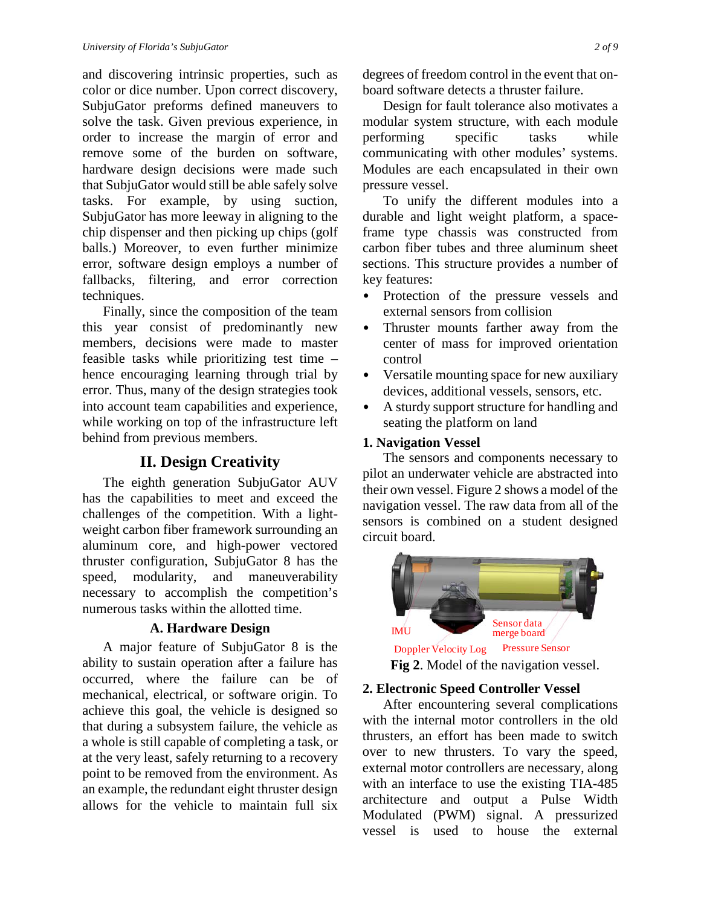and discovering intrinsic properties, such as color or dice number. Upon correct discovery, SubjuGator preforms defined maneuvers to solve the task. Given previous experience, in order to increase the margin of error and remove some of the burden on software, hardware design decisions were made such that SubjuGator would still be able safely solve tasks. For example, by using suction, SubjuGator has more leeway in aligning to the chip dispenser and then picking up chips (golf balls.) Moreover, to even further minimize error, software design employs a number of fallbacks, filtering, and error correction techniques.

Finally, since the composition of the team this year consist of predominantly new members, decisions were made to master feasible tasks while prioritizing test time – hence encouraging learning through trial by error. Thus, many of the design strategies took into account team capabilities and experience, while working on top of the infrastructure left behind from previous members.

## **II. Design Creativity**

The eighth generation SubjuGator AUV has the capabilities to meet and exceed the challenges of the competition. With a lightweight carbon fiber framework surrounding an aluminum core, and high-power vectored thruster configuration, SubjuGator 8 has the speed, modularity, and maneuverability necessary to accomplish the competition's numerous tasks within the allotted time.

## **A. Hardware Design**

A major feature of SubjuGator 8 is the ability to sustain operation after a failure has occurred, where the failure can be of mechanical, electrical, or software origin. To achieve this goal, the vehicle is designed so that during a subsystem failure, the vehicle as a whole is still capable of completing a task, or at the very least, safely returning to a recovery point to be removed from the environment. As an example, the redundant eight thruster design allows for the vehicle to maintain full six

degrees of freedom control in the event that onboard software detects a thruster failure.

Design for fault tolerance also motivates a modular system structure, with each module performing specific tasks while communicating with other modules' systems. Modules are each encapsulated in their own pressure vessel.

To unify the different modules into a durable and light weight platform, a spaceframe type chassis was constructed from carbon fiber tubes and three aluminum sheet sections. This structure provides a number of key features:

- Protection of the pressure vessels and external sensors from collision
- Thruster mounts farther away from the center of mass for improved orientation control
- Versatile mounting space for new auxiliary devices, additional vessels, sensors, etc.
- A sturdy support structure for handling and seating the platform on land

#### **1. Navigation Vessel**

The sensors and components necessary to pilot an underwater vehicle are abstracted into their own vessel. Figure 2 shows a model of the navigation vessel. The raw data from all of the sensors is combined on a student designed circuit board.



## **2. Electronic Speed Controller Vessel**

After encountering several complications with the internal motor controllers in the old thrusters, an effort has been made to switch over to new thrusters. To vary the speed, external motor controllers are necessary, along with an interface to use the existing TIA-485 architecture and output a Pulse Width Modulated (PWM) signal. A pressurized vessel is used to house the external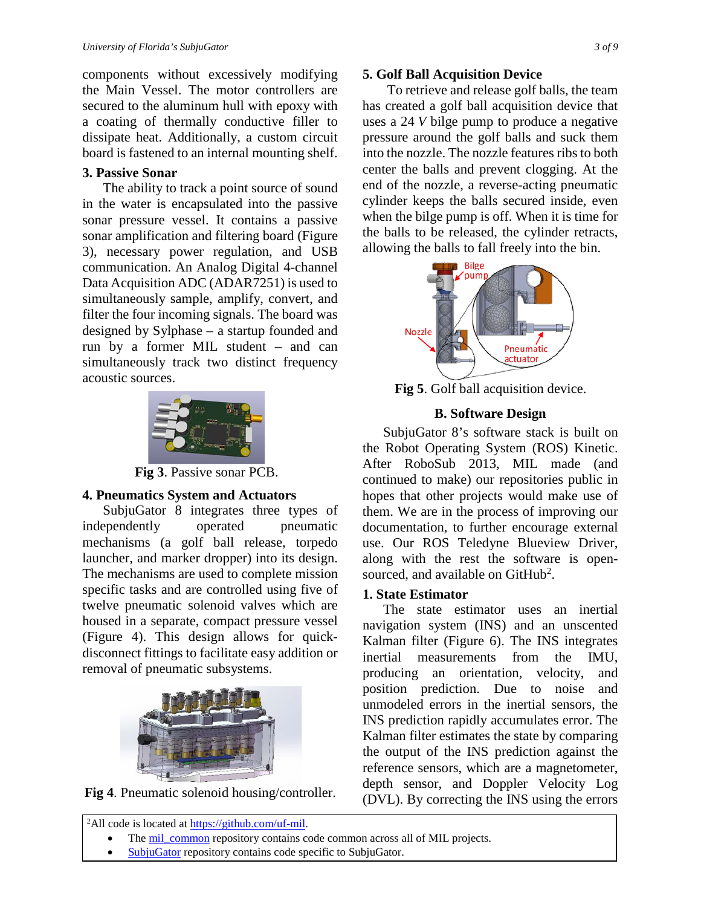components without excessively modifying the Main Vessel. The motor controllers are secured to the aluminum hull with epoxy with a coating of thermally conductive filler to dissipate heat. Additionally, a custom circuit board is fastened to an internal mounting shelf.

#### **3. Passive Sonar**

The ability to track a point source of sound in the water is encapsulated into the passive sonar pressure vessel. It contains a passive sonar amplification and filtering board (Figure 3), necessary power regulation, and USB communication. An Analog Digital 4-channel Data Acquisition ADC (ADAR7251) is used to simultaneously sample, amplify, convert, and filter the four incoming signals. The board was designed by Sylphase – a startup founded and run by a former MIL student – and can simultaneously track two distinct frequency acoustic sources.



**Fig 3**. Passive sonar PCB.

## **4. Pneumatics System and Actuators**

SubjuGator 8 integrates three types of independently operated pneumatic mechanisms (a golf ball release, torpedo launcher, and marker dropper) into its design. The mechanisms are used to complete mission specific tasks and are controlled using five of twelve pneumatic solenoid valves which are housed in a separate, compact pressure vessel (Figure 4). This design allows for quickdisconnect fittings to facilitate easy addition or removal of pneumatic subsystems.



**Fig 4**. Pneumatic solenoid housing/controller.

#### **5. Golf Ball Acquisition Device**

To retrieve and release golf balls, the team has created a golf ball acquisition device that uses a 24 *V* bilge pump to produce a negative pressure around the golf balls and suck them into the nozzle. The nozzle features ribs to both center the balls and prevent clogging. At the end of the nozzle, a reverse-acting pneumatic cylinder keeps the balls secured inside, even when the bilge pump is off. When it is time for the balls to be released, the cylinder retracts, allowing the balls to fall freely into the bin.



**Fig 5**. Golf ball acquisition device.

## **B. Software Design**

SubjuGator 8's software stack is built on the Robot Operating System (ROS) Kinetic. After RoboSub 2013, MIL made (and continued to make) our repositories public in hopes that other projects would make use of them. We are in the process of improving our documentation, to further encourage external use. Our ROS Teledyne Blueview Driver, along with the rest the software is opensourced, and available on GitHub<sup>2</sup>.

## **1. State Estimator**

The state estimator uses an inertial navigation system (INS) and an unscented Kalman filter (Figure 6). The INS integrates inertial measurements from the IMU, producing an orientation, velocity, and position prediction. Due to noise and unmodeled errors in the inertial sensors, the INS prediction rapidly accumulates error. The Kalman filter estimates the state by comparing the output of the INS prediction against the reference sensors, which are a magnetometer, depth sensor, and Doppler Velocity Log (DVL). By correcting the INS using the errors

- 
- [SubjuGator](https://github.com/uf-mil/SubjuGator) repository contains code specific to SubjuGator.

<sup>&</sup>lt;sup>2</sup>All code is located at [https://github.com/uf-mil.](https://github.com/uf-mil) The [mil\\_common](https://github.com/uf-mil/mil_common) repository contains code common across all of MIL projects.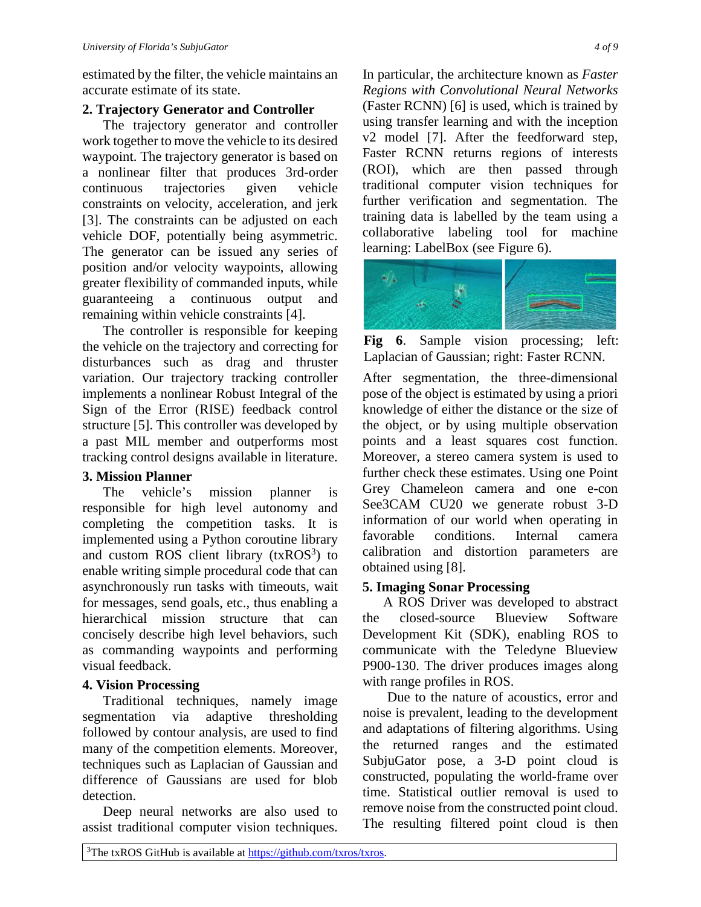estimated by the filter, the vehicle maintains an accurate estimate of its state.

#### **2. Trajectory Generator and Controller**

The trajectory generator and controller work together to move the vehicle to its desired waypoint. The trajectory generator is based on a nonlinear filter that produces 3rd-order continuous trajectories given vehicle constraints on velocity, acceleration, and jerk [3]. The constraints can be adjusted on each vehicle DOF, potentially being asymmetric. The generator can be issued any series of position and/or velocity waypoints, allowing greater flexibility of commanded inputs, while guaranteeing a continuous output and remaining within vehicle constraints [4].

The controller is responsible for keeping the vehicle on the trajectory and correcting for disturbances such as drag and thruster variation. Our trajectory tracking controller implements a nonlinear Robust Integral of the Sign of the Error (RISE) feedback control structure [5]. This controller was developed by a past MIL member and outperforms most tracking control designs available in literature.

## **3. Mission Planner**

The vehicle's mission planner is responsible for high level autonomy and completing the competition tasks. It is implemented using a Python coroutine library and custom ROS client library  $(txROS<sup>3</sup>)$  to enable writing simple procedural code that can asynchronously run tasks with timeouts, wait for messages, send goals, etc., thus enabling a hierarchical mission structure that can concisely describe high level behaviors, such as commanding waypoints and performing visual feedback.

## **4. Vision Processing**

Traditional techniques, namely image segmentation via adaptive thresholding followed by contour analysis, are used to find many of the competition elements. Moreover, techniques such as Laplacian of Gaussian and difference of Gaussians are used for blob detection.

Deep neural networks are also used to assist traditional computer vision techniques.

In particular, the architecture known as *Faster Regions with Convolutional Neural Networks* (Faster RCNN) [6] is used, which is trained by using transfer learning and with the inception v2 model [7]. After the feedforward step, Faster RCNN returns regions of interests (ROI), which are then passed through traditional computer vision techniques for further verification and segmentation. The training data is labelled by the team using a collaborative labeling tool for machine learning: LabelBox (see Figure 6).



**Fig 6**. Sample vision processing; left: Laplacian of Gaussian; right: Faster RCNN.

After segmentation, the three-dimensional pose of the object is estimated by using a priori knowledge of either the distance or the size of the object, or by using multiple observation points and a least squares cost function. Moreover, a stereo camera system is used to further check these estimates. Using one Point Grey Chameleon camera and one e-con See3CAM CU20 we generate robust 3-D information of our world when operating in favorable conditions. Internal camera calibration and distortion parameters are obtained using [8].

## **5. Imaging Sonar Processing**

A ROS Driver was developed to abstract the closed-source Blueview Software Development Kit (SDK), enabling ROS to communicate with the Teledyne Blueview P900-130. The driver produces images along with range profiles in ROS.

Due to the nature of acoustics, error and noise is prevalent, leading to the development and adaptations of filtering algorithms. Using the returned ranges and the estimated SubjuGator pose, a 3-D point cloud is constructed, populating the world-frame over time. Statistical outlier removal is used to remove noise from the constructed point cloud. The resulting filtered point cloud is then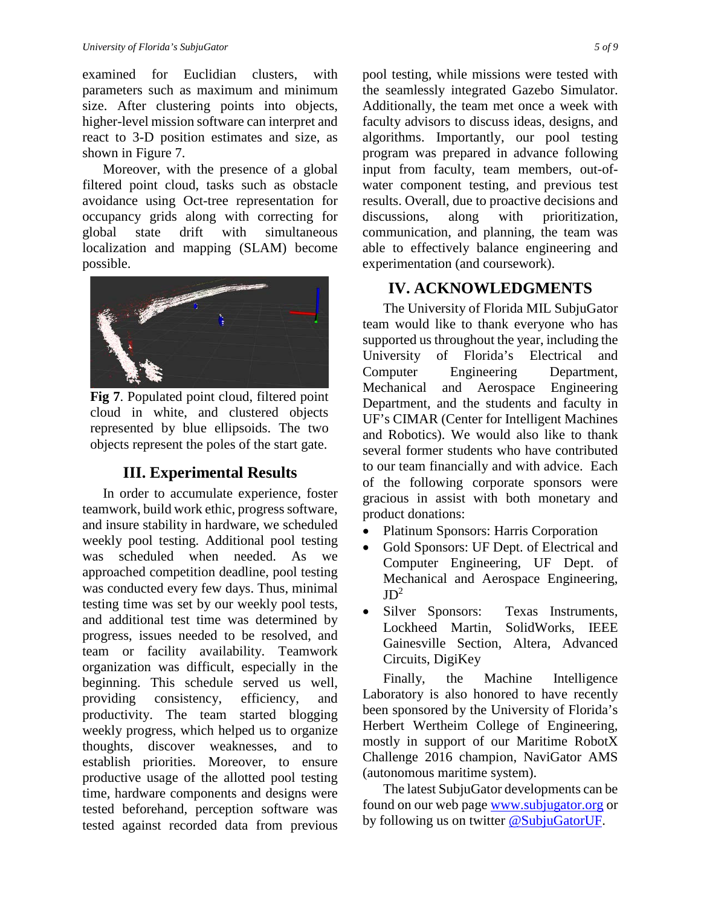examined for Euclidian clusters, with parameters such as maximum and minimum size. After clustering points into objects, higher-level mission software can interpret and react to 3-D position estimates and size, as shown in Figure 7.

Moreover, with the presence of a global filtered point cloud, tasks such as obstacle avoidance using Oct-tree representation for occupancy grids along with correcting for global state drift with simultaneous localization and mapping (SLAM) become possible.



**Fig 7**. Populated point cloud, filtered point cloud in white, and clustered objects represented by blue ellipsoids. The two objects represent the poles of the start gate.

# **III. Experimental Results**

In order to accumulate experience, foster teamwork, build work ethic, progress software, and insure stability in hardware, we scheduled weekly pool testing. Additional pool testing was scheduled when needed. As we approached competition deadline, pool testing was conducted every few days. Thus, minimal testing time was set by our weekly pool tests, and additional test time was determined by progress, issues needed to be resolved, and team or facility availability. Teamwork organization was difficult, especially in the beginning. This schedule served us well, providing consistency, efficiency, and productivity. The team started blogging weekly progress, which helped us to organize thoughts, discover weaknesses, and to establish priorities. Moreover, to ensure productive usage of the allotted pool testing time, hardware components and designs were tested beforehand, perception software was tested against recorded data from previous pool testing, while missions were tested with the seamlessly integrated Gazebo Simulator. Additionally, the team met once a week with faculty advisors to discuss ideas, designs, and algorithms. Importantly, our pool testing program was prepared in advance following input from faculty, team members, out-ofwater component testing, and previous test results. Overall, due to proactive decisions and discussions, along with prioritization, communication, and planning, the team was able to effectively balance engineering and experimentation (and coursework).

# **IV. ACKNOWLEDGMENTS**

The University of Florida MIL SubjuGator team would like to thank everyone who has supported us throughout the year, including the University of Florida's Electrical and Computer Engineering Department, Mechanical and Aerospace Engineering Department, and the students and faculty in UF's CIMAR (Center for Intelligent Machines and Robotics). We would also like to thank several former students who have contributed to our team financially and with advice. Each of the following corporate sponsors were gracious in assist with both monetary and product donations:

- Platinum Sponsors: Harris Corporation
- Gold Sponsors: UF Dept. of Electrical and Computer Engineering, UF Dept. of Mechanical and Aerospace Engineering,  $JD^2$
- Silver Sponsors: Texas Instruments, Lockheed Martin, SolidWorks, IEEE Gainesville Section, Altera, Advanced Circuits, DigiKey

Finally, the Machine Intelligence Laboratory is also honored to have recently been sponsored by the University of Florida's Herbert Wertheim College of Engineering, mostly in support of our Maritime RobotX Challenge 2016 champion, NaviGator AMS (autonomous maritime system).

The latest SubjuGator developments can be found on our web page [www.subjugator.org](http://www.subjugator.org/) or by following us on twitter [@SubjuGatorUF.](https://twitter.com/subjugatoruf)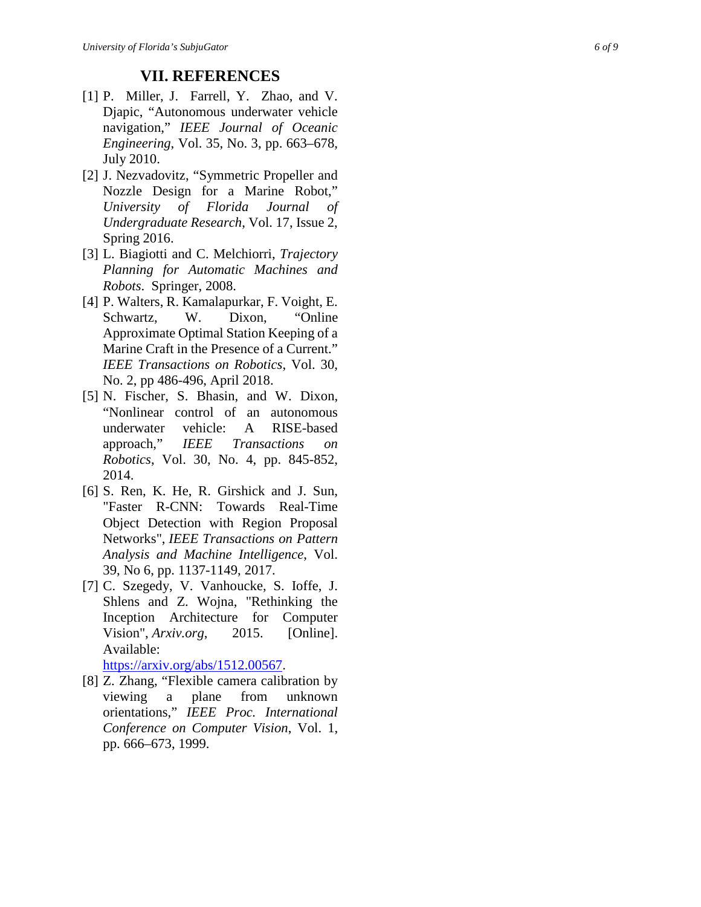#### **VII. REFERENCES**

- [1] P. Miller, J. Farrell, Y. Zhao, and V. Djapic, "Autonomous underwater vehicle navigation," *IEEE Journal of Oceanic Engineering*, Vol. 35, No. 3, pp. 663 –678, July 2010.
- [2] J. Nezvadovitz, "Symmetric Propeller and Nozzle Design for a Marine Robot," *University of Florida Journal of Undergraduate Research*, Vol . 17, Issue 2, Spring 2016.
- [3] L. Biagiotti and C. Melchiorri, *Trajectory Planning for Automatic Machines and Robots*. Springer, 2008.
- [4] P. Walters, R. Kamalapurkar, F. Voight, E. Schwartz, W. Dixon. "Online" Approximate Optimal Station Keeping of a Marine Craft in the Presence of a Current." *IEEE Transactions on Robotics*, Vol . 30, No . 2, pp 486 -496, April 2018.
- [ 5 ] N. Fischer, S. Bhasin, and W. Dixon, "Nonlinear control of an autonomous underwater vehicle: A RISE-based approach ," *IEEE Transactions on Robotics*, Vol. 30, No. 4, pp. 845 -852 , 2014 .
- [ 6 ] S. Ren, K. He, R. Girshick and J. Sun, "Faster R-CNN: Towards Real-Time Object Detection with Region Proposal Networks", *IEEE Transactions on Pattern Analysis and Machine Intelligence*, Vol. 39, No 6, pp. 1137 -1149, 2017.
- [ 7 ] C. Szegedy, V. Vanhoucke, S. Ioffe, J. Shlens and Z. Wojna, "Rethinking the Inception Architecture for Computer Vision", *Arxiv.org*, 201 [Online]. Available: <https://arxiv.org/abs/1512.00567>.
- [ 8 ] Z. Zhang, "Flexible camera calibration by viewing a plane from unknown orientations," *IEEE Proc. International Conference on Computer Vision*, Vol. 1, pp. 666 –673, 1999 .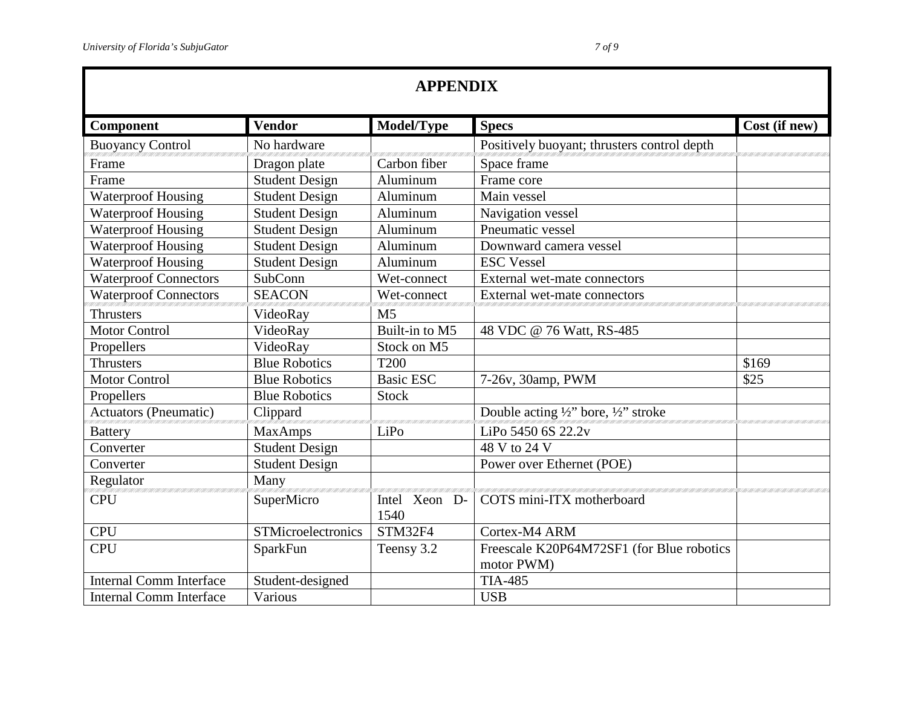| <b>APPENDIX</b>                |                       |                       |                                                         |               |  |  |
|--------------------------------|-----------------------|-----------------------|---------------------------------------------------------|---------------|--|--|
| Component                      | <b>Vendor</b>         | Model/Type            | <b>Specs</b>                                            | Cost (if new) |  |  |
| <b>Buoyancy Control</b>        | No hardware           |                       | Positively buoyant; thrusters control depth             |               |  |  |
| Frame                          | Dragon plate          | Carbon fiber          | Space frame                                             |               |  |  |
| Frame                          | <b>Student Design</b> | Aluminum              | Frame core                                              |               |  |  |
| <b>Waterproof Housing</b>      | <b>Student Design</b> | Aluminum              | Main vessel                                             |               |  |  |
| <b>Waterproof Housing</b>      | <b>Student Design</b> | Aluminum              | Navigation vessel                                       |               |  |  |
| <b>Waterproof Housing</b>      | <b>Student Design</b> | Aluminum              | Pneumatic vessel                                        |               |  |  |
| <b>Waterproof Housing</b>      | Student Design        | Aluminum              | Downward camera vessel                                  |               |  |  |
| <b>Waterproof Housing</b>      | <b>Student Design</b> | Aluminum              | <b>ESC</b> Vessel                                       |               |  |  |
| <b>Waterproof Connectors</b>   | SubConn               | Wet-connect           | External wet-mate connectors                            |               |  |  |
| <b>Waterproof Connectors</b>   | <b>SEACON</b>         | Wet-connect           | External wet-mate connectors                            |               |  |  |
| <b>Thrusters</b>               | VideoRay              | M <sub>5</sub>        |                                                         |               |  |  |
| <b>Motor Control</b>           | VideoRay              | Built-in to M5        | 48 VDC @ 76 Watt, RS-485                                |               |  |  |
| Propellers                     | VideoRay              | Stock on M5           |                                                         |               |  |  |
| <b>Thrusters</b>               | <b>Blue Robotics</b>  | <b>T200</b>           |                                                         | \$169         |  |  |
| <b>Motor Control</b>           | <b>Blue Robotics</b>  | <b>Basic ESC</b>      | 7-26v, 30amp, PWM                                       | \$25          |  |  |
| Propellers                     | <b>Blue Robotics</b>  | <b>Stock</b>          |                                                         |               |  |  |
| <b>Actuators (Pneumatic)</b>   | Clippard              |                       | Double acting 1/2" bore, 1/2" stroke                    |               |  |  |
| <b>Battery</b>                 | <b>MaxAmps</b>        | LiPo                  | LiPo 5450 6S 22.2v                                      |               |  |  |
| Converter                      | <b>Student Design</b> |                       | 48 V to 24 V                                            |               |  |  |
| Converter                      | <b>Student Design</b> |                       | Power over Ethernet (POE)                               |               |  |  |
| Regulator                      | Many                  |                       |                                                         |               |  |  |
| <b>CPU</b>                     | SuperMicro            | Intel Xeon D-<br>1540 | COTS mini-ITX motherboard                               |               |  |  |
| <b>CPU</b>                     | STMicroelectronics    | STM32F4               | Cortex-M4 ARM                                           |               |  |  |
| <b>CPU</b>                     | SparkFun              | Teensy 3.2            | Freescale K20P64M72SF1 (for Blue robotics<br>motor PWM) |               |  |  |
| <b>Internal Comm Interface</b> | Student-designed      |                       | <b>TIA-485</b>                                          |               |  |  |
| <b>Internal Comm Interface</b> | Various               |                       | <b>USB</b>                                              |               |  |  |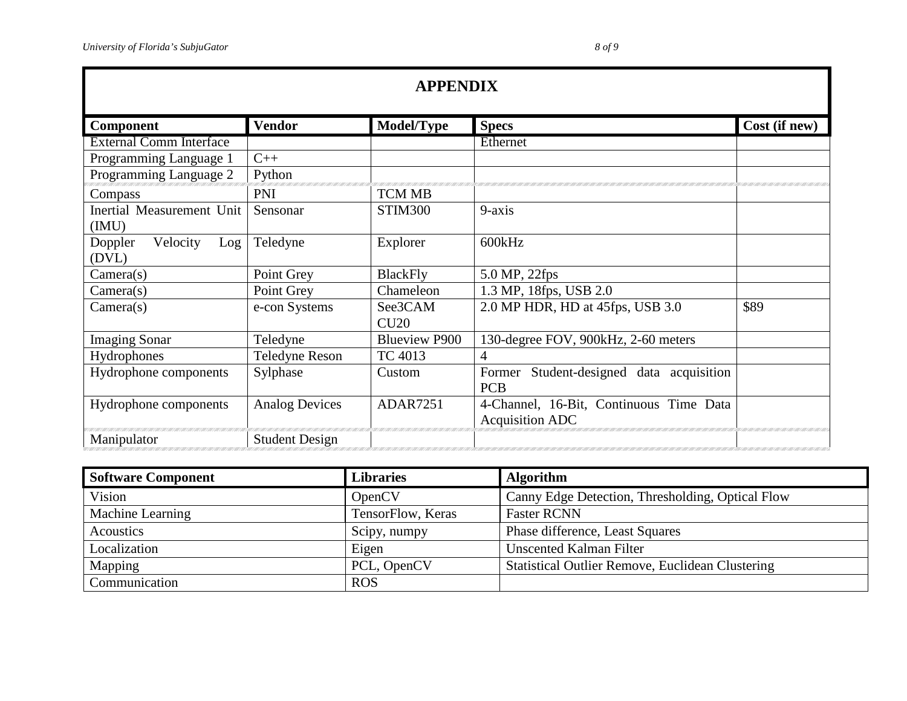| <b>APPENDIX</b>                     |                       |                      |                                                                   |               |  |  |
|-------------------------------------|-----------------------|----------------------|-------------------------------------------------------------------|---------------|--|--|
| <b>Component</b>                    | <b>Vendor</b>         | Model/Type           | <b>Specs</b>                                                      | Cost (if new) |  |  |
| <b>External Comm Interface</b>      |                       |                      | Ethernet                                                          |               |  |  |
| Programming Language 1              | $C++$                 |                      |                                                                   |               |  |  |
| Programming Language 2              | Python                |                      |                                                                   |               |  |  |
| Compass                             | <b>PNI</b>            | <b>TCM MB</b>        |                                                                   |               |  |  |
| Inertial Measurement Unit<br>(MU)   | Sensonar              | STIM300              | $9-axis$                                                          |               |  |  |
| Velocity<br>Doppler<br>Log<br>(DVL) | Teledyne              | Explorer             | 600kHz                                                            |               |  |  |
| Camera(s)                           | Point Grey            | <b>BlackFly</b>      | 5.0 MP, 22fps                                                     |               |  |  |
| Camera(s)                           | Point Grey            | Chameleon            | 1.3 MP, 18fps, USB 2.0                                            |               |  |  |
| Camera(s)                           | e-con Systems         | See3CAM<br>CU20      | 2.0 MP HDR, HD at 45fps, USB 3.0                                  | \$89          |  |  |
| <b>Imaging Sonar</b>                | Teledyne              | <b>Blueview P900</b> | 130-degree FOV, 900kHz, 2-60 meters                               |               |  |  |
| Hydrophones                         | <b>Teledyne Reson</b> | TC 4013              | 4                                                                 |               |  |  |
| Hydrophone components               | Sylphase              | Custom               | Student-designed data acquisition<br>Former<br><b>PCB</b>         |               |  |  |
| Hydrophone components               | <b>Analog Devices</b> | <b>ADAR7251</b>      | 4-Channel, 16-Bit, Continuous Time Data<br><b>Acquisition ADC</b> |               |  |  |
| Manipulator                         | <b>Student Design</b> |                      |                                                                   |               |  |  |

| <b>Software Component</b> | <b>Libraries</b>  | <b>Algorithm</b>                                        |
|---------------------------|-------------------|---------------------------------------------------------|
| Vision                    | OpenCV            | Canny Edge Detection, Thresholding, Optical Flow        |
| Machine Learning          | TensorFlow, Keras | <b>Faster RCNN</b>                                      |
| Acoustics                 | Scipy, numpy      | Phase difference, Least Squares                         |
| Localization              | Eigen             | <b>Unscented Kalman Filter</b>                          |
| Mapping                   | PCL, OpenCV       | <b>Statistical Outlier Remove, Euclidean Clustering</b> |
| Communication             | <b>ROS</b>        |                                                         |